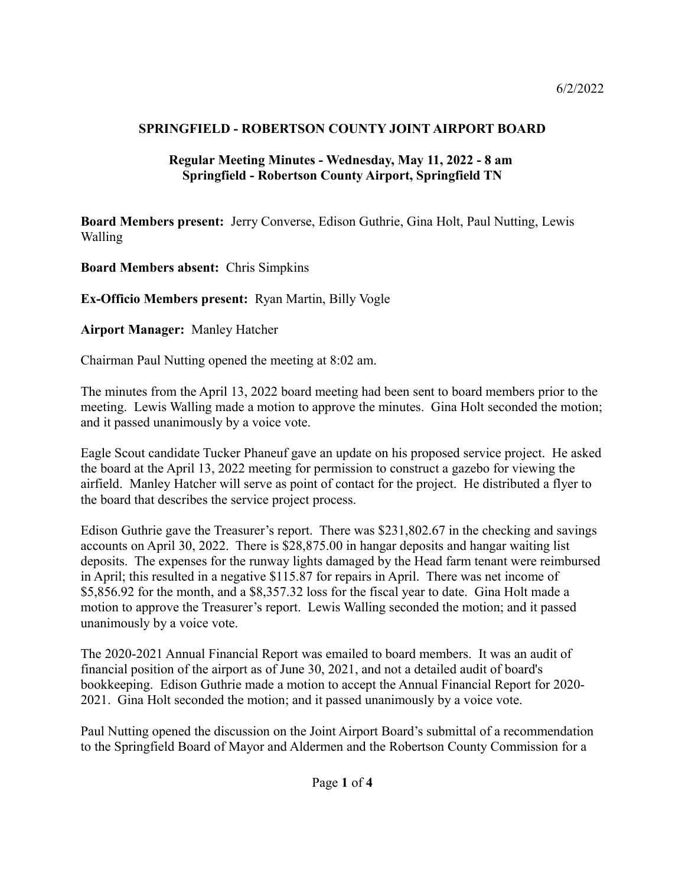## **SPRINGFIELD - ROBERTSON COUNTY JOINT AIRPORT BOARD**

## **Regular Meeting Minutes - Wednesday, May 11, 2022 - 8 am Springfield - Robertson County Airport, Springfield TN**

**Board Members present:** Jerry Converse, Edison Guthrie, Gina Holt, Paul Nutting, Lewis Walling

**Board Members absent:** Chris Simpkins

**Ex-Officio Members present:** Ryan Martin, Billy Vogle

**Airport Manager:** Manley Hatcher

Chairman Paul Nutting opened the meeting at 8:02 am.

The minutes from the April 13, 2022 board meeting had been sent to board members prior to the meeting. Lewis Walling made a motion to approve the minutes. Gina Holt seconded the motion; and it passed unanimously by a voice vote.

Eagle Scout candidate Tucker Phaneuf gave an update on his proposed service project. He asked the board at the April 13, 2022 meeting for permission to construct a gazebo for viewing the airfield. Manley Hatcher will serve as point of contact for the project. He distributed a flyer to the board that describes the service project process.

Edison Guthrie gave the Treasurer's report. There was \$231,802.67 in the checking and savings accounts on April 30, 2022. There is \$28,875.00 in hangar deposits and hangar waiting list deposits. The expenses for the runway lights damaged by the Head farm tenant were reimbursed in April; this resulted in a negative \$115.87 for repairs in April. There was net income of \$5,856.92 for the month, and a \$8,357.32 loss for the fiscal year to date. Gina Holt made a motion to approve the Treasurer's report. Lewis Walling seconded the motion; and it passed unanimously by a voice vote.

The 2020-2021 Annual Financial Report was emailed to board members. It was an audit of financial position of the airport as of June 30, 2021, and not a detailed audit of board's bookkeeping. Edison Guthrie made a motion to accept the Annual Financial Report for 2020- 2021. Gina Holt seconded the motion; and it passed unanimously by a voice vote.

Paul Nutting opened the discussion on the Joint Airport Board's submittal of a recommendation to the Springfield Board of Mayor and Aldermen and the Robertson County Commission for a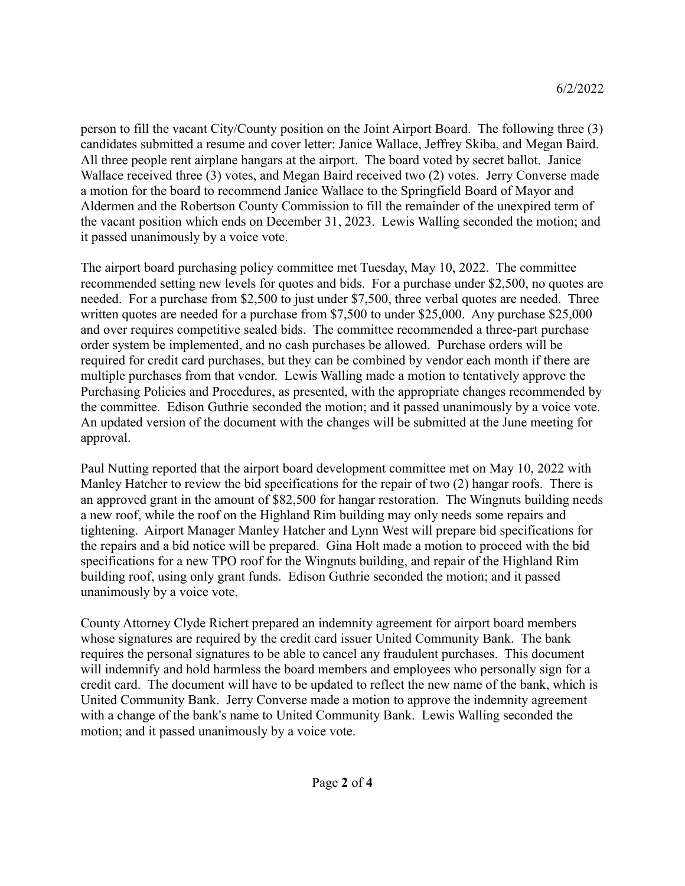person to fill the vacant City/County position on the Joint Airport Board. The following three (3) candidates submitted a resume and cover letter: Janice Wallace, Jeffrey Skiba, and Megan Baird. All three people rent airplane hangars at the airport. The board voted by secret ballot. Janice Wallace received three (3) votes, and Megan Baird received two (2) votes. Jerry Converse made a motion for the board to recommend Janice Wallace to the Springfield Board of Mayor and Aldermen and the Robertson County Commission to fill the remainder of the unexpired term of the vacant position which ends on December 31, 2023. Lewis Walling seconded the motion; and it passed unanimously by a voice vote.

The airport board purchasing policy committee met Tuesday, May 10, 2022. The committee recommended setting new levels for quotes and bids. For a purchase under \$2,500, no quotes are needed. For a purchase from \$2,500 to just under \$7,500, three verbal quotes are needed. Three written quotes are needed for a purchase from \$7,500 to under \$25,000. Any purchase \$25,000 and over requires competitive sealed bids. The committee recommended a three-part purchase order system be implemented, and no cash purchases be allowed. Purchase orders will be required for credit card purchases, but they can be combined by vendor each month if there are multiple purchases from that vendor. Lewis Walling made a motion to tentatively approve the Purchasing Policies and Procedures, as presented, with the appropriate changes recommended by the committee. Edison Guthrie seconded the motion; and it passed unanimously by a voice vote. An updated version of the document with the changes will be submitted at the June meeting for approval.

Paul Nutting reported that the airport board development committee met on May 10, 2022 with Manley Hatcher to review the bid specifications for the repair of two (2) hangar roofs. There is an approved grant in the amount of \$82,500 for hangar restoration. The Wingnuts building needs a new roof, while the roof on the Highland Rim building may only needs some repairs and tightening. Airport Manager Manley Hatcher and Lynn West will prepare bid specifications for the repairs and a bid notice will be prepared. Gina Holt made a motion to proceed with the bid specifications for a new TPO roof for the Wingnuts building, and repair of the Highland Rim building roof, using only grant funds. Edison Guthrie seconded the motion; and it passed unanimously by a voice vote.

County Attorney Clyde Richert prepared an indemnity agreement for airport board members whose signatures are required by the credit card issuer United Community Bank. The bank requires the personal signatures to be able to cancel any fraudulent purchases. This document will indemnify and hold harmless the board members and employees who personally sign for a credit card. The document will have to be updated to reflect the new name of the bank, which is United Community Bank. Jerry Converse made a motion to approve the indemnity agreement with a change of the bank's name to United Community Bank. Lewis Walling seconded the motion; and it passed unanimously by a voice vote.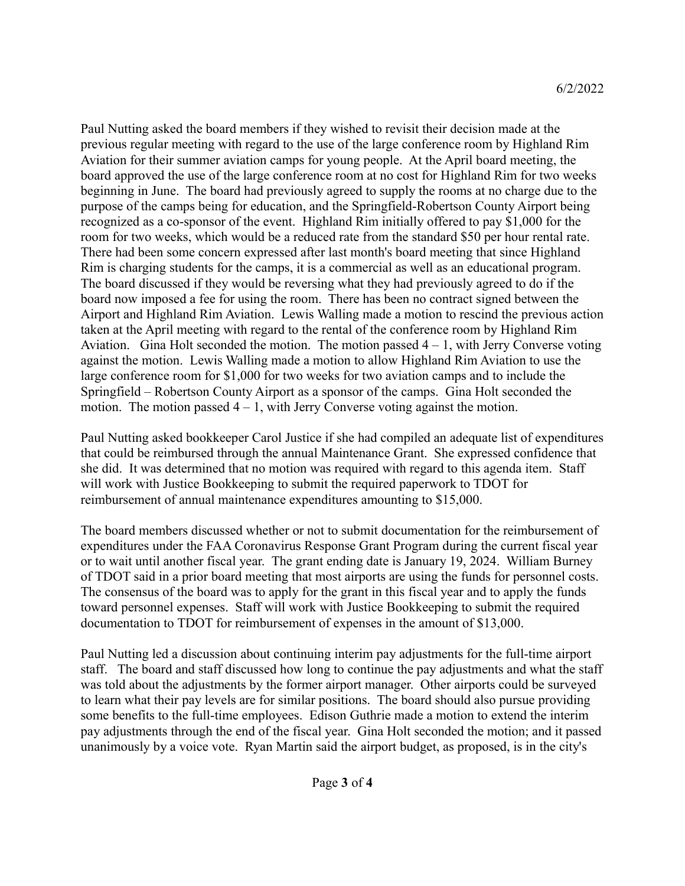Paul Nutting asked the board members if they wished to revisit their decision made at the previous regular meeting with regard to the use of the large conference room by Highland Rim Aviation for their summer aviation camps for young people. At the April board meeting, the board approved the use of the large conference room at no cost for Highland Rim for two weeks beginning in June. The board had previously agreed to supply the rooms at no charge due to the purpose of the camps being for education, and the Springfield-Robertson County Airport being recognized as a co-sponsor of the event. Highland Rim initially offered to pay \$1,000 for the room for two weeks, which would be a reduced rate from the standard \$50 per hour rental rate. There had been some concern expressed after last month's board meeting that since Highland Rim is charging students for the camps, it is a commercial as well as an educational program. The board discussed if they would be reversing what they had previously agreed to do if the board now imposed a fee for using the room. There has been no contract signed between the Airport and Highland Rim Aviation. Lewis Walling made a motion to rescind the previous action taken at the April meeting with regard to the rental of the conference room by Highland Rim Aviation. Gina Holt seconded the motion. The motion passed  $4 - 1$ , with Jerry Converse voting against the motion. Lewis Walling made a motion to allow Highland Rim Aviation to use the large conference room for \$1,000 for two weeks for two aviation camps and to include the Springfield – Robertson County Airport as a sponsor of the camps. Gina Holt seconded the motion. The motion passed  $4 - 1$ , with Jerry Converse voting against the motion.

Paul Nutting asked bookkeeper Carol Justice if she had compiled an adequate list of expenditures that could be reimbursed through the annual Maintenance Grant. She expressed confidence that she did. It was determined that no motion was required with regard to this agenda item. Staff will work with Justice Bookkeeping to submit the required paperwork to TDOT for reimbursement of annual maintenance expenditures amounting to \$15,000.

The board members discussed whether or not to submit documentation for the reimbursement of expenditures under the FAA Coronavirus Response Grant Program during the current fiscal year or to wait until another fiscal year. The grant ending date is January 19, 2024. William Burney of TDOT said in a prior board meeting that most airports are using the funds for personnel costs. The consensus of the board was to apply for the grant in this fiscal year and to apply the funds toward personnel expenses. Staff will work with Justice Bookkeeping to submit the required documentation to TDOT for reimbursement of expenses in the amount of \$13,000.

Paul Nutting led a discussion about continuing interim pay adjustments for the full-time airport staff. The board and staff discussed how long to continue the pay adjustments and what the staff was told about the adjustments by the former airport manager. Other airports could be surveyed to learn what their pay levels are for similar positions. The board should also pursue providing some benefits to the full-time employees. Edison Guthrie made a motion to extend the interim pay adjustments through the end of the fiscal year. Gina Holt seconded the motion; and it passed unanimously by a voice vote. Ryan Martin said the airport budget, as proposed, is in the city's